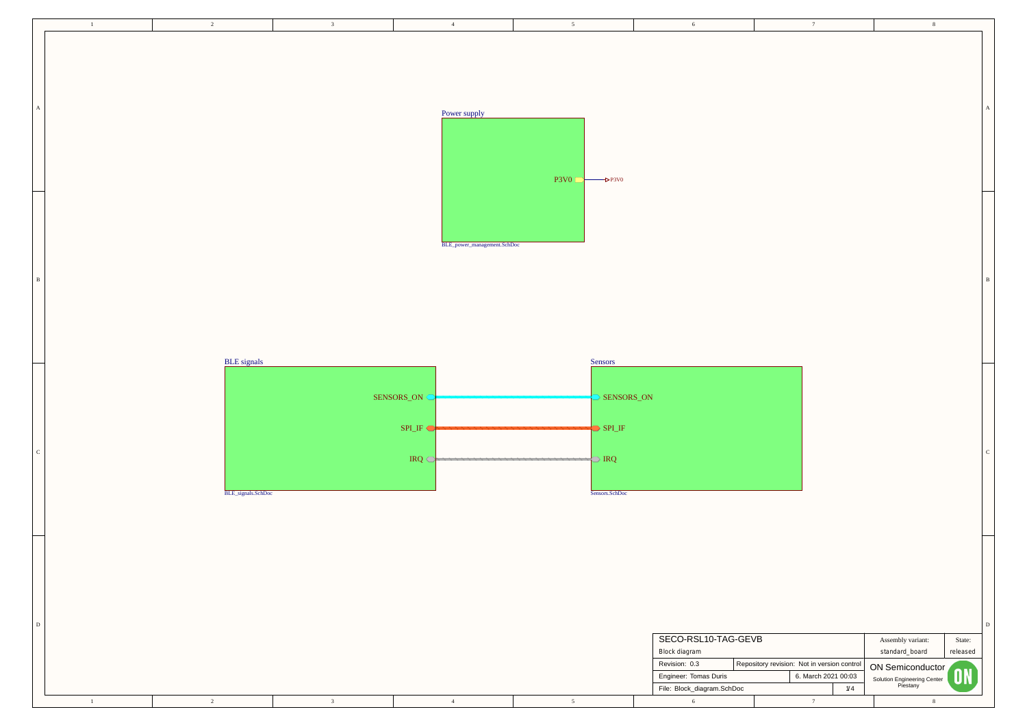| $\sqrt{6}$                                                                                                                 |                                             | $\boldsymbol{7}$                        |     | $\,$ 8 $\,$                                                                                                          |                                 |              |
|----------------------------------------------------------------------------------------------------------------------------|---------------------------------------------|-----------------------------------------|-----|----------------------------------------------------------------------------------------------------------------------|---------------------------------|--------------|
|                                                                                                                            |                                             |                                         |     |                                                                                                                      |                                 | A            |
|                                                                                                                            |                                             |                                         |     |                                                                                                                      |                                 | $\, {\bf B}$ |
|                                                                                                                            |                                             |                                         |     |                                                                                                                      |                                 | $\mathbf C$  |
| SECO-RSL10-TAG-GEVB<br>Block diagram<br>Revision: 0.3<br>Engineer: Tomas Duris<br>File: Block_diagram.SchDoc<br>$\sqrt{6}$ | Repository revision: Not in version control | 6. March 2021 00:03<br>$\boldsymbol{7}$ | 1/4 | Assembly variant:<br>standard_board<br><b>ON Semiconductor</b><br>Solution Engineering Center<br>Piestany<br>$\,8\,$ | State:<br>released<br><b>ON</b> | $\mathbf D$  |

| $\mathbf{1}$   | $\overline{2}$     | $\overline{\mathbf{3}}$ | $4\overline{4}$             | 5 <sup>5</sup>                                 | 6                                     | 7                                           | 8 <sup>8</sup>                          |          |
|----------------|--------------------|-------------------------|-----------------------------|------------------------------------------------|---------------------------------------|---------------------------------------------|-----------------------------------------|----------|
|                |                    |                         |                             |                                                |                                       |                                             |                                         |          |
|                |                    |                         |                             |                                                |                                       |                                             |                                         |          |
|                |                    |                         |                             |                                                |                                       |                                             |                                         |          |
| $\mathbf{A}^-$ |                    |                         |                             |                                                |                                       |                                             |                                         |          |
|                |                    |                         | Power supply                |                                                |                                       |                                             |                                         |          |
|                |                    |                         |                             |                                                |                                       |                                             |                                         |          |
|                |                    |                         |                             |                                                |                                       |                                             |                                         |          |
|                |                    |                         |                             | $\overline{\text{P3V0}}$<br>$\rightarrow$ P3V0 |                                       |                                             |                                         |          |
|                |                    |                         |                             |                                                |                                       |                                             |                                         |          |
|                |                    |                         |                             |                                                |                                       |                                             |                                         |          |
|                |                    |                         | BLE_power_management.SchDoc |                                                |                                       |                                             |                                         |          |
|                |                    |                         |                             |                                                |                                       |                                             |                                         |          |
| $\mathbf{B}$   |                    |                         |                             |                                                |                                       |                                             |                                         |          |
|                |                    |                         |                             |                                                |                                       |                                             |                                         |          |
|                |                    |                         |                             |                                                |                                       |                                             |                                         |          |
|                |                    |                         |                             |                                                |                                       |                                             |                                         |          |
|                | <b>BLE</b> signals |                         |                             | Sensors                                        |                                       |                                             |                                         |          |
|                |                    |                         | SENSORS_ON                  | SENSORS_ON                                     |                                       |                                             |                                         |          |
|                |                    |                         |                             |                                                |                                       |                                             |                                         |          |
|                |                    |                         | SPI_IF                      | $\bigcirc$ SPI_IF                              |                                       |                                             |                                         |          |
| $\mathbf{C}$   |                    |                         |                             |                                                |                                       |                                             |                                         |          |
|                |                    |                         |                             |                                                |                                       |                                             |                                         |          |
|                | BLE_signals.SchDoc |                         |                             | Sensors.SchDoc                                 |                                       |                                             |                                         |          |
|                |                    |                         |                             |                                                |                                       |                                             |                                         |          |
|                |                    |                         |                             |                                                |                                       |                                             |                                         |          |
|                |                    |                         |                             |                                                |                                       |                                             |                                         |          |
|                |                    |                         |                             |                                                |                                       |                                             |                                         |          |
|                |                    |                         |                             |                                                |                                       |                                             |                                         |          |
| ${\bf D}$      |                    |                         |                             |                                                |                                       |                                             |                                         |          |
|                |                    |                         |                             |                                                | SECO-RSL10-TAG-GEVB                   |                                             | Assembly variant:                       | State:   |
|                |                    |                         |                             |                                                | <b>Block diagram</b><br>Revision: 0.3 | Repository revision: Not in version control | standard_board<br>ON Semiconductor      | released |
|                |                    |                         |                             |                                                | Engineer: Tomas Duris                 | 6. March 2021 00:03                         | Solution Engineering Center<br>Piestany |          |
|                | $\overline{2}$     | $\overline{3}$          | $\overline{4}$              |                                                | File: Block_diagram.SchDoc<br>6       | 1/4                                         |                                         |          |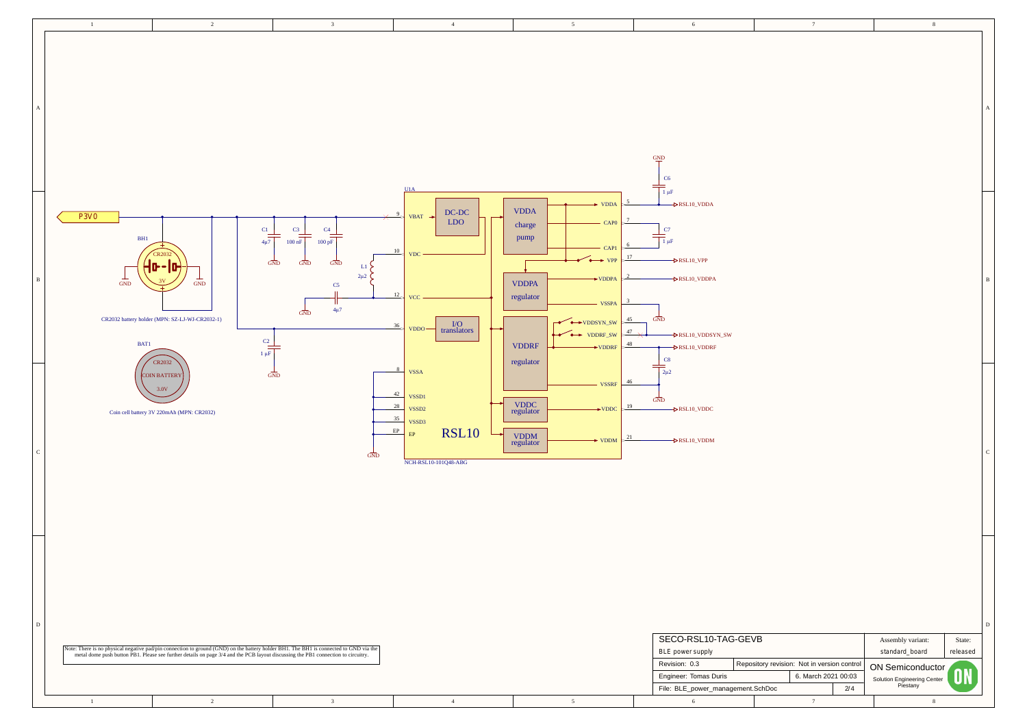

| ı |
|---|

| 7                                                            | 8                                                                                                         |                          |                  |
|--------------------------------------------------------------|-----------------------------------------------------------------------------------------------------------|--------------------------|------------------|
|                                                              |                                                                                                           |                          | $\boldsymbol{A}$ |
|                                                              |                                                                                                           |                          | $\, {\bf B}$     |
|                                                              |                                                                                                           |                          | $\mathbf C$      |
| vision: Not in version control<br>6. March 2021 00:03<br>2/4 | Assembly variant:<br>standard_board<br><b>ON Semiconductor</b><br>Solution Engineering Center<br>Piestany | State:<br>released<br>ON | $\mathbf D$      |
| $\boldsymbol{7}$                                             | $\,$ 8 $\,$                                                                                               |                          |                  |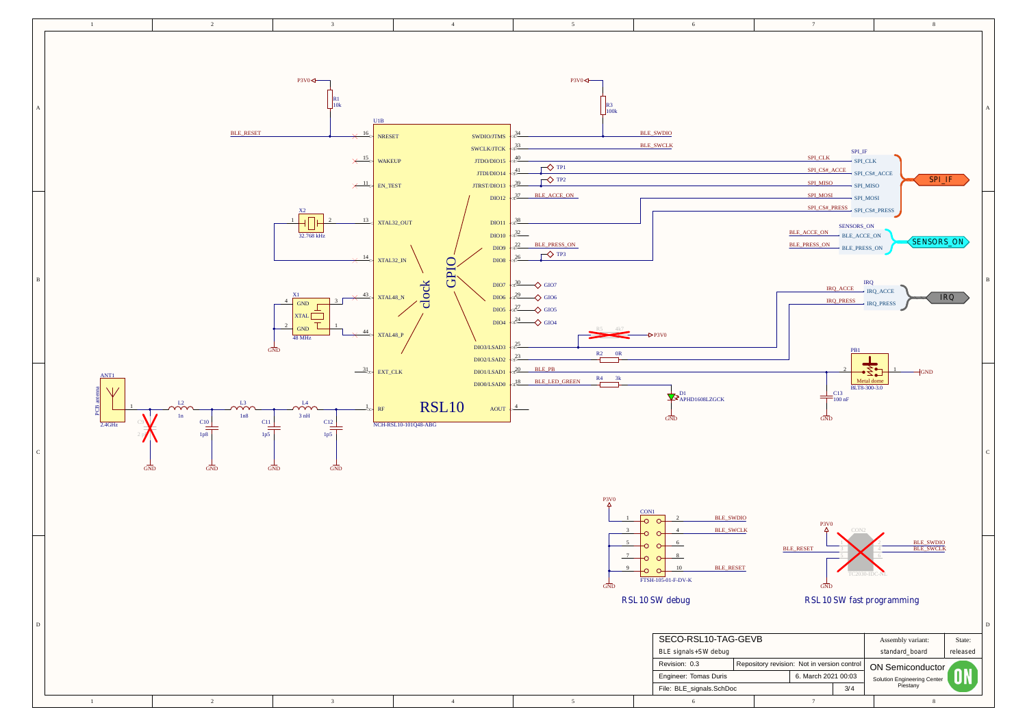